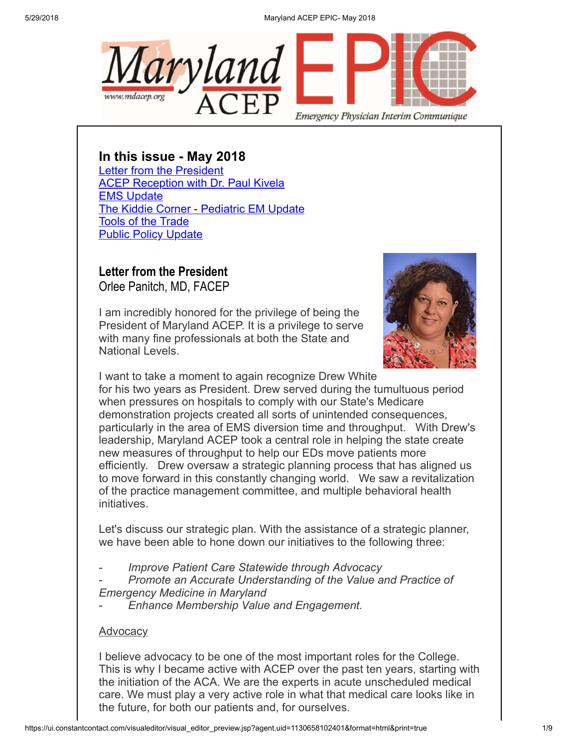5/29/2018 Maryland ACEP EPIC- May 2018



In this issue - May 2018

[Letter from the President](#page-0-0) [ACEP Reception with Dr. Paul Kivela](#page-2-0) [EMS Update](#page-3-0) [The Kiddie Corner - Pediatric EM Update](#page-5-0) [Tools of the Trade](#page-7-0) [Public Policy Update](#page-7-1)

## <span id="page-0-0"></span>Letter from the President

Orlee Panitch, MD, FACEP

I am incredibly honored for the privilege of being the President of Maryland ACEP. It is a privilege to serve with many fine professionals at both the State and National Levels.



I want to take a moment to again recognize Drew White for his two years as President. Drew served during the tumultuous period when pressures on hospitals to comply with our State's Medicare demonstration projects created all sorts of unintended consequences, particularly in the area of EMS diversion time and throughput. With Drew's leadership, Maryland ACEP took a central role in helping the state create new measures of throughput to help our EDs move patients more efficiently. Drew oversaw a strategic planning process that has aligned us to move forward in this constantly changing world. We saw a revitalization of the practice management committee, and multiple behavioral health initiatives.

Let's discuss our strategic plan. With the assistance of a strategic planner, we have been able to hone down our initiatives to the following three:

- Improve Patient Care Statewide through Advocacy
- Promote an Accurate Understanding of the Value and Practice of Emergency Medicine in Maryland
- Enhance Membership Value and Engagement.

### **Advocacy**

I believe advocacy to be one of the most important roles for the College. This is why I became active with ACEP over the past ten years, starting with the initiation of the ACA. We are the experts in acute unscheduled medical care. We must play a very active role in what that medical care looks like in the future, for both our patients and, for ourselves.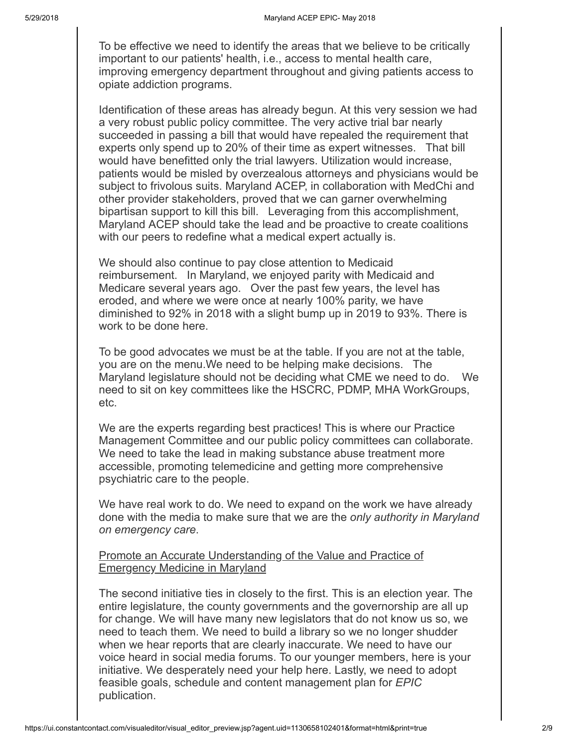To be effective we need to identify the areas that we believe to be critically important to our patients' health, i.e., access to mental health care, improving emergency department throughout and giving patients access to opiate addiction programs.

Identification of these areas has already begun. At this very session we had a very robust public policy committee. The very active trial bar nearly succeeded in passing a bill that would have repealed the requirement that experts only spend up to 20% of their time as expert witnesses. That bill would have benefitted only the trial lawyers. Utilization would increase, patients would be misled by overzealous attorneys and physicians would be subject to frivolous suits. Maryland ACEP, in collaboration with MedChi and other provider stakeholders, proved that we can garner overwhelming bipartisan support to kill this bill. Leveraging from this accomplishment, Maryland ACEP should take the lead and be proactive to create coalitions with our peers to redefine what a medical expert actually is.

We should also continue to pay close attention to Medicaid reimbursement. In Maryland, we enjoyed parity with Medicaid and Medicare several years ago. Over the past few years, the level has eroded, and where we were once at nearly 100% parity, we have diminished to 92% in 2018 with a slight bump up in 2019 to 93%. There is work to be done here.

To be good advocates we must be at the table. If you are not at the table, you are on the menu.We need to be helping make decisions. The Maryland legislature should not be deciding what CME we need to do. We need to sit on key committees like the HSCRC, PDMP, MHA WorkGroups, etc.

We are the experts regarding best practices! This is where our Practice Management Committee and our public policy committees can collaborate. We need to take the lead in making substance abuse treatment more accessible, promoting telemedicine and getting more comprehensive psychiatric care to the people.

We have real work to do. We need to expand on the work we have already done with the media to make sure that we are the *only authority in Maryland* on emergency care.

Promote an Accurate Understanding of the Value and Practice of Emergency Medicine in Maryland

The second initiative ties in closely to the first. This is an election year. The entire legislature, the county governments and the governorship are all up for change. We will have many new legislators that do not know us so, we need to teach them. We need to build a library so we no longer shudder when we hear reports that are clearly inaccurate. We need to have our voice heard in social media forums. To our younger members, here is your initiative. We desperately need your help here. Lastly, we need to adopt feasible goals, schedule and content management plan for EPIC publication.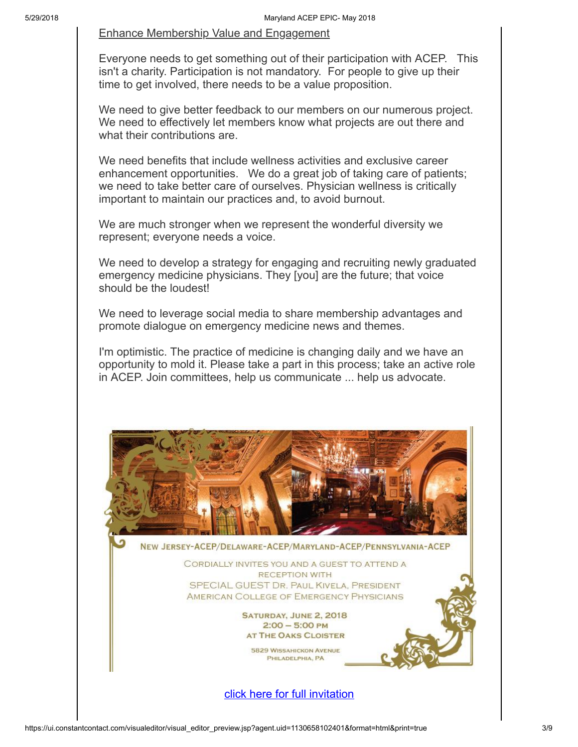#### Enhance Membership Value and Engagement

Everyone needs to get something out of their participation with ACEP. This isn't a charity. Participation is not mandatory. For people to give up their time to get involved, there needs to be a value proposition.

We need to give better feedback to our members on our numerous project. We need to effectively let members know what projects are out there and what their contributions are.

We need benefits that include wellness activities and exclusive career enhancement opportunities. We do a great job of taking care of patients; we need to take better care of ourselves. Physician wellness is critically important to maintain our practices and, to avoid burnout.

We are much stronger when we represent the wonderful diversity we represent; everyone needs a voice.

We need to develop a strategy for engaging and recruiting newly graduated emergency medicine physicians. They [you] are the future; that voice should be the loudest!

We need to leverage social media to share membership advantages and promote dialogue on emergency medicine news and themes.

I'm optimistic. The practice of medicine is changing daily and we have an opportunity to mold it. Please take a part in this process; take an active role in ACEP. Join committees, help us communicate ... help us advocate.

<span id="page-2-0"></span>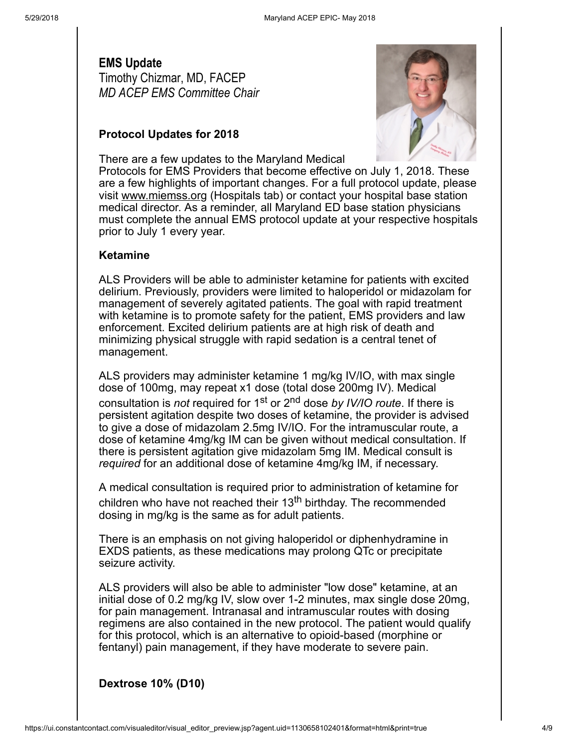### <span id="page-3-0"></span>EMS Update Timothy Chizmar, MD, FACEP MD ACEP EMS Committee Chair

#### Protocol Updates for 2018

There are a few updates to the Maryland Medical



Protocols for EMS Providers that become effective on July 1, 2018. These are a few highlights of important changes. For a full protocol update, please visit [www.miemss.org](http://www.miemss.org/) (Hospitals tab) or contact your hospital base station medical director. As a reminder, all Maryland ED base station physicians must complete the annual EMS protocol update at your respective hospitals prior to July 1 every year.

#### Ketamine

ALS Providers will be able to administer ketamine for patients with excited delirium. Previously, providers were limited to haloperidol or midazolam for management of severely agitated patients. The goal with rapid treatment with ketamine is to promote safety for the patient, EMS providers and law enforcement. Excited delirium patients are at high risk of death and minimizing physical struggle with rapid sedation is a central tenet of management.

ALS providers may administer ketamine 1 mg/kg IV/IO, with max single dose of 100mg, may repeat x1 dose (total dose 200mg IV). Medical consultation is *not* required for 1<sup>st</sup> or 2<sup>nd</sup> dose by IV/IO route. If there is persistent agitation despite two doses of ketamine, the provider is advised to give a dose of midazolam 2.5mg IV/IO. For the intramuscular route, a dose of ketamine 4mg/kg IM can be given without medical consultation. If there is persistent agitation give midazolam 5mg IM. Medical consult is required for an additional dose of ketamine 4mg/kg IM, if necessary.

A medical consultation is required prior to administration of ketamine for children who have not reached their 13<sup>th</sup> birthday. The recommended dosing in mg/kg is the same as for adult patients.

There is an emphasis on not giving haloperidol or diphenhydramine in EXDS patients, as these medications may prolong QTc or precipitate seizure activity.

ALS providers will also be able to administer "low dose" ketamine, at an initial dose of 0.2 mg/kg IV, slow over 1-2 minutes, max single dose 20mg, for pain management. Intranasal and intramuscular routes with dosing regimens are also contained in the new protocol. The patient would qualify for this protocol, which is an alternative to opioid-based (morphine or fentanyl) pain management, if they have moderate to severe pain.

Dextrose 10% (D10)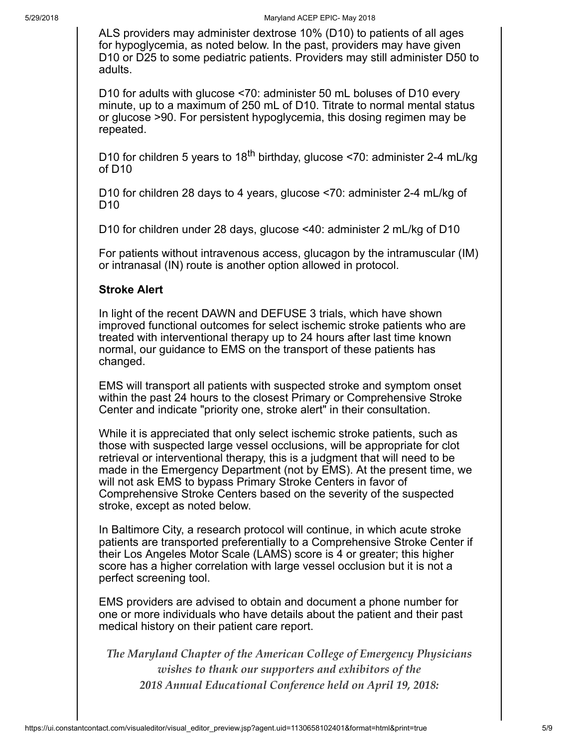ALS providers may administer dextrose 10% (D10) to patients of all ages for hypoglycemia, as noted below. In the past, providers may have given D10 or D25 to some pediatric patients. Providers may still administer D50 to adults.

D10 for adults with glucose <70: administer 50 mL boluses of D10 every minute, up to a maximum of 250 mL of D10. Titrate to normal mental status or glucose >90. For persistent hypoglycemia, this dosing regimen may be repeated.

D10 for children 5 years to 18<sup>th</sup> birthday, glucose <70: administer 2-4 mL/kg of D10

D10 for children 28 days to 4 years, glucose <70: administer 2-4 mL/kg of D10

D10 for children under 28 days, glucose <40: administer 2 mL/kg of D10

For patients without intravenous access, glucagon by the intramuscular (IM) or intranasal (IN) route is another option allowed in protocol.

#### Stroke Alert

In light of the recent DAWN and DEFUSE 3 trials, which have shown improved functional outcomes for select ischemic stroke patients who are treated with interventional therapy up to 24 hours after last time known normal, our guidance to EMS on the transport of these patients has changed.

EMS will transport all patients with suspected stroke and symptom onset within the past 24 hours to the closest Primary or Comprehensive Stroke Center and indicate "priority one, stroke alert" in their consultation.

While it is appreciated that only select ischemic stroke patients, such as those with suspected large vessel occlusions, will be appropriate for clot retrieval or interventional therapy, this is a judgment that will need to be made in the Emergency Department (not by EMS). At the present time, we will not ask EMS to bypass Primary Stroke Centers in favor of Comprehensive Stroke Centers based on the severity of the suspected stroke, except as noted below.

In Baltimore City, a research protocol will continue, in which acute stroke patients are transported preferentially to a Comprehensive Stroke Center if their Los Angeles Motor Scale (LAMS) score is 4 or greater; this higher score has a higher correlation with large vessel occlusion but it is not a perfect screening tool.

EMS providers are advised to obtain and document a phone number for one or more individuals who have details about the patient and their past medical history on their patient care report.

*The Maryland Chapter of the American College of Emergency Physicians wishes to thank our supporters and exhibitors of the 2018 Annual Educational Conference held on April 19, 2018:*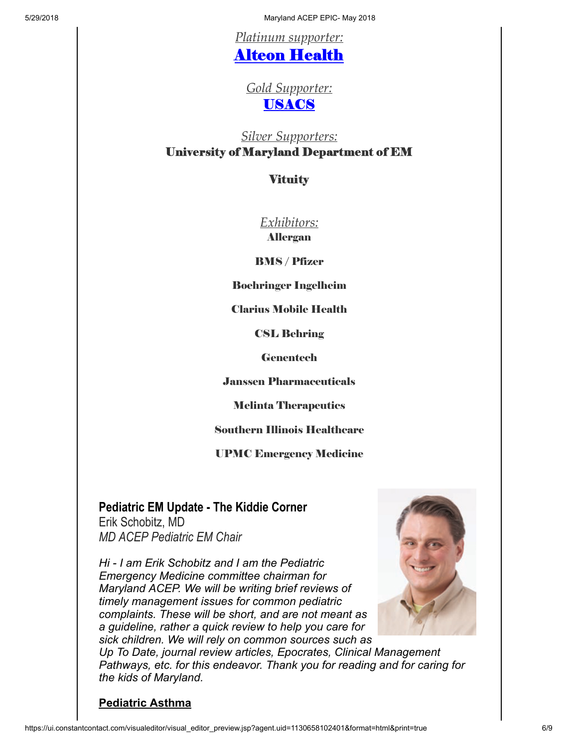5/29/2018 Maryland ACEP EPIC- May 2018

*Platinum supporter:*

# Alteon [Health](https://www.alteonhealth.com/)

*Gold Supporter:* [USACS](https://www.usacs.com/)

# *Silver Supporters:* University of Maryland Department of EM

### **Vituity**

*Exhibitors:*

Allergan

BMS / Pfizer

Boehringer Ingelheim

Clarius Mobile Health

CSL Behring

**Genentech** 

Janssen Pharmaceuticals

Melinta Therapeutics

Southern Illinois Healthcare

UPMC Emergency Medicine

# <span id="page-5-0"></span>Pediatric EM Update - The Kiddie Corner

Erik Schobitz, MD MD ACEP Pediatric EM Chair

Hi - I am Erik Schobitz and I am the Pediatric Emergency Medicine committee chairman for Maryland ACEP. We will be writing brief reviews of timely management issues for common pediatric complaints. These will be short, and are not meant as a guideline, rather a quick review to help you care for sick children. We will rely on common sources such as



Up To Date, journal review articles, Epocrates, Clinical Management Pathways, etc. for this endeavor. Thank you for reading and for caring for the kids of Maryland.

### Pediatric Asthma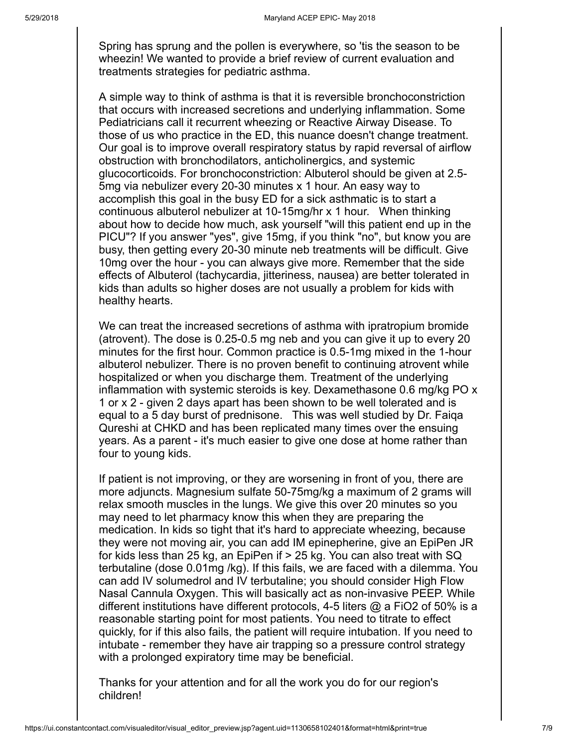Spring has sprung and the pollen is everywhere, so 'tis the season to be wheezin! We wanted to provide a brief review of current evaluation and treatments strategies for pediatric asthma.

A simple way to think of asthma is that it is reversible bronchoconstriction that occurs with increased secretions and underlying inflammation. Some Pediatricians call it recurrent wheezing or Reactive Airway Disease. To those of us who practice in the ED, this nuance doesn't change treatment. Our goal is to improve overall respiratory status by rapid reversal of airflow obstruction with bronchodilators, anticholinergics, and systemic glucocorticoids. For bronchoconstriction: Albuterol should be given at 2.5- 5mg via nebulizer every 20-30 minutes x 1 hour. An easy way to accomplish this goal in the busy ED for a sick asthmatic is to start a continuous albuterol nebulizer at 10-15mg/hr x 1 hour. When thinking about how to decide how much, ask yourself "will this patient end up in the PICU"? If you answer "yes", give 15mg, if you think "no", but know you are busy, then getting every 20-30 minute neb treatments will be difficult. Give 10mg over the hour - you can always give more. Remember that the side effects of Albuterol (tachycardia, jitteriness, nausea) are better tolerated in kids than adults so higher doses are not usually a problem for kids with healthy hearts.

We can treat the increased secretions of asthma with ipratropium bromide (atrovent). The dose is 0.25-0.5 mg neb and you can give it up to every 20 minutes for the first hour. Common practice is 0.5-1mg mixed in the 1-hour albuterol nebulizer. There is no proven benefit to continuing atrovent while hospitalized or when you discharge them. Treatment of the underlying inflammation with systemic steroids is key. Dexamethasone 0.6 mg/kg PO x 1 or x 2 - given 2 days apart has been shown to be well tolerated and is equal to a 5 day burst of prednisone. This was well studied by Dr. Faiqa Qureshi at CHKD and has been replicated many times over the ensuing years. As a parent - it's much easier to give one dose at home rather than four to young kids.

If patient is not improving, or they are worsening in front of you, there are more adjuncts. Magnesium sulfate 50-75mg/kg a maximum of 2 grams will relax smooth muscles in the lungs. We give this over 20 minutes so you may need to let pharmacy know this when they are preparing the medication. In kids so tight that it's hard to appreciate wheezing, because they were not moving air, you can add IM epinepherine, give an EpiPen JR for kids less than 25 kg, an EpiPen if > 25 kg. You can also treat with SQ terbutaline (dose 0.01mg /kg). If this fails, we are faced with a dilemma. You can add IV solumedrol and IV terbutaline; you should consider High Flow Nasal Cannula Oxygen. This will basically act as non-invasive PEEP. While different institutions have different protocols, 4-5 liters @ a FiO2 of 50% is a reasonable starting point for most patients. You need to titrate to effect quickly, for if this also fails, the patient will require intubation. If you need to intubate - remember they have air trapping so a pressure control strategy with a prolonged expiratory time may be beneficial.

Thanks for your attention and for all the work you do for our region's children!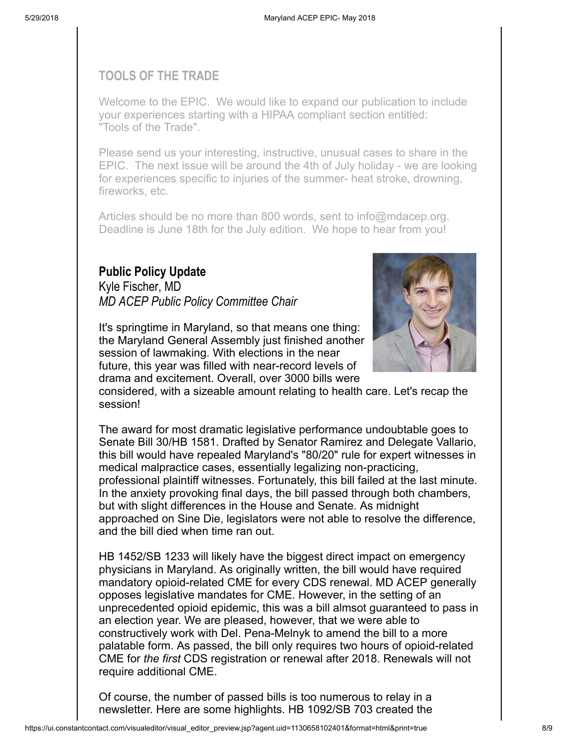### <span id="page-7-0"></span>TOOLS OF THE TRADE

Welcome to the EPIC. We would like to expand our publication to include your experiences starting with a HIPAA compliant section entitled: "Tools of the Trade".

Please send us your interesting, instructive, unusual cases to share in the EPIC. The next issue will be around the 4th of July holiday - we are looking for experiences specific to injuries of the summer- heat stroke, drowning, fireworks, etc.

Articles should be no more than 800 words, sent to [info@mdacep.org](mailto:lmyers@amrms.com). Deadline is June 18th for the July edition. We hope to hear from you!

### <span id="page-7-1"></span>Public Policy Update

Kyle Fischer, MD MD ACEP Public Policy Committee Chair



the Maryland General Assembly just finished another session of lawmaking. With elections in the near future, this year was filled with near-record levels of drama and excitement. Overall, over 3000 bills were



considered, with a sizeable amount relating to health care. Let's recap the session!

The award for most dramatic legislative performance undoubtable goes to Senate Bill 30/HB 1581. Drafted by Senator Ramirez and Delegate Vallario, this bill would have repealed Maryland's "80/20" rule for expert witnesses in medical malpractice cases, essentially legalizing non-practicing, professional plaintiff witnesses. Fortunately, this bill failed at the last minute. In the anxiety provoking final days, the bill passed through both chambers, but with slight differences in the House and Senate. As midnight approached on Sine Die, legislators were not able to resolve the difference, and the bill died when time ran out.

HB 1452/SB 1233 will likely have the biggest direct impact on emergency physicians in Maryland. As originally written, the bill would have required mandatory opioid-related CME for every CDS renewal. MD ACEP generally opposes legislative mandates for CME. However, in the setting of an unprecedented opioid epidemic, this was a bill almsot guaranteed to pass in an election year. We are pleased, however, that we were able to constructively work with Del. Pena-Melnyk to amend the bill to a more palatable form. As passed, the bill only requires two hours of opioid-related CME for the first CDS registration or renewal after 2018. Renewals will not require additional CME.

Of course, the number of passed bills is too numerous to relay in a newsletter. Here are some highlights. HB 1092/SB 703 created the